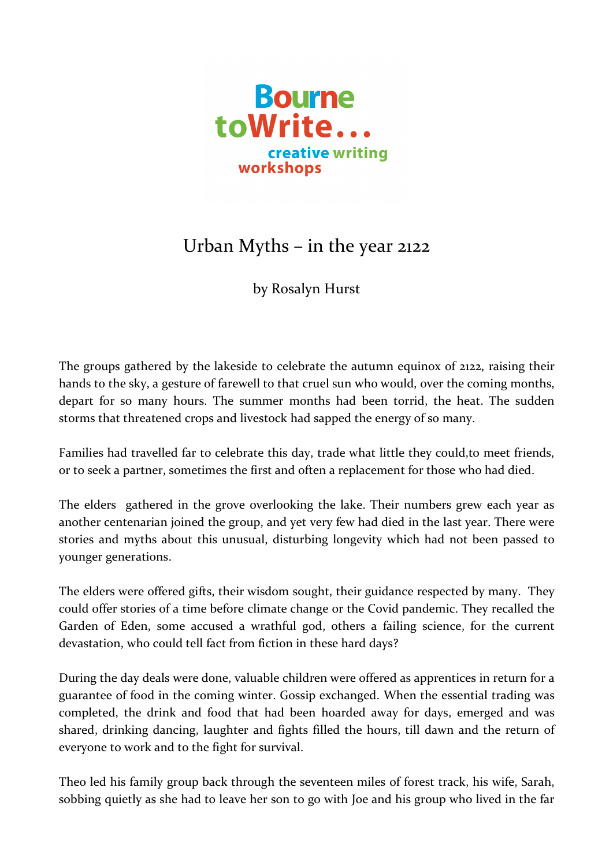

## Urban Myths – in the year 2122

by Rosalyn Hurst

The groups gathered by the lakeside to celebrate the autumn equinox of 2122, raising their hands to the sky, a gesture of farewell to that cruel sun who would, over the coming months, depart for so many hours. The summer months had been torrid, the heat. The sudden storms that threatened crops and livestock had sapped the energy of so many.

Families had travelled far to celebrate this day, trade what little they could,to meet friends, or to seek a partner, sometimes the first and often a replacement for those who had died.

The elders gathered in the grove overlooking the lake. Their numbers grew each year as another centenarian joined the group, and yet very few had died in the last year. There were stories and myths about this unusual, disturbing longevity which had not been passed to younger generations.

The elders were offered gifts, their wisdom sought, their guidance respected by many. They could offer stories of a time before climate change or the Covid pandemic. They recalled the Garden of Eden, some accused a wrathful god, others a failing science, for the current devastation, who could tell fact from fiction in these hard days?

During the day deals were done, valuable children were offered as apprentices in return for a guarantee of food in the coming winter. Gossip exchanged. When the essential trading was completed, the drink and food that had been hoarded away for days, emerged and was shared, drinking dancing, laughter and fights filled the hours, till dawn and the return of everyone to work and to the fight for survival.

Theo led his family group back through the seventeen miles of forest track, his wife, Sarah, sobbing quietly as she had to leave her son to go with Joe and his group who lived in the far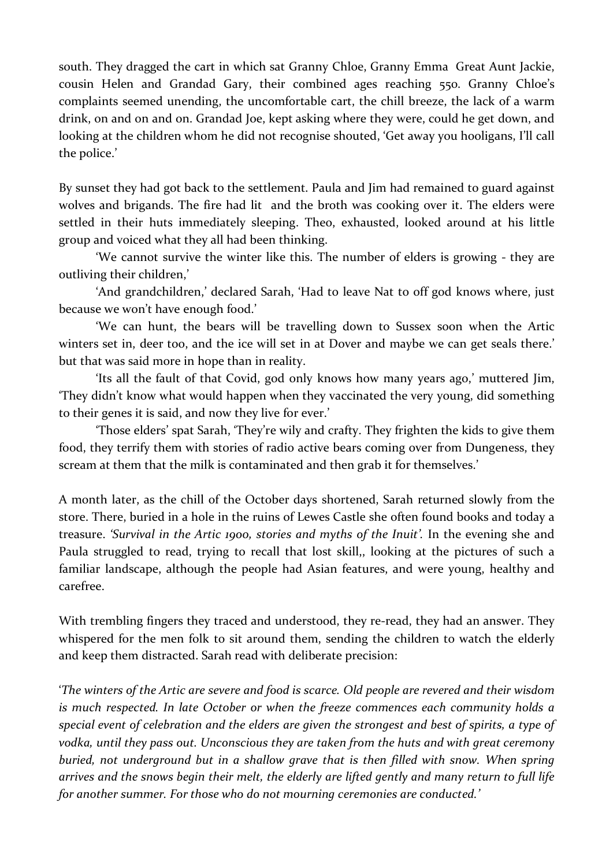south. They dragged the cart in which sat Granny Chloe, Granny Emma Great Aunt Jackie, cousin Helen and Grandad Gary, their combined ages reaching 550. Granny Chloe's complaints seemed unending, the uncomfortable cart, the chill breeze, the lack of a warm drink, on and on and on. Grandad Joe, kept asking where they were, could he get down, and looking at the children whom he did not recognise shouted, 'Get away you hooligans, I'll call the police.'

By sunset they had got back to the settlement. Paula and Jim had remained to guard against wolves and brigands. The fire had lit and the broth was cooking over it. The elders were settled in their huts immediately sleeping. Theo, exhausted, looked around at his little group and voiced what they all had been thinking.

'We cannot survive the winter like this. The number of elders is growing - they are outliving their children,'

'And grandchildren,' declared Sarah, 'Had to leave Nat to off god knows where, just because we won't have enough food.'

'We can hunt, the bears will be travelling down to Sussex soon when the Artic winters set in, deer too, and the ice will set in at Dover and maybe we can get seals there.' but that was said more in hope than in reality.

'Its all the fault of that Covid, god only knows how many years ago,' muttered Jim, 'They didn't know what would happen when they vaccinated the very young, did something to their genes it is said, and now they live for ever.'

'Those elders' spat Sarah, 'They're wily and crafty. They frighten the kids to give them food, they terrify them with stories of radio active bears coming over from Dungeness, they scream at them that the milk is contaminated and then grab it for themselves.'

A month later, as the chill of the October days shortened, Sarah returned slowly from the store. There, buried in a hole in the ruins of Lewes Castle she often found books and today a treasure. *'Survival in the Artic 1900, stories and myths of the Inuit'.* In the evening she and Paula struggled to read, trying to recall that lost skill,, looking at the pictures of such a familiar landscape, although the people had Asian features, and were young, healthy and carefree.

With trembling fingers they traced and understood, they re-read, they had an answer. They whispered for the men folk to sit around them, sending the children to watch the elderly and keep them distracted. Sarah read with deliberate precision:

'*The winters of the Artic are severe and food is scarce. Old people are revered and their wisdom is much respected. In late October or when the freeze commences each community holds a special event of celebration and the elders are given the strongest and best of spirits, a type of vodka, until they pass out. Unconscious they are taken from the huts and with great ceremony buried, not underground but in a shallow grave that is then filled with snow. When spring arrives and the snows begin their melt, the elderly are lifted gently and many return to full life for another summer. For those who do not mourning ceremonies are conducted.'*